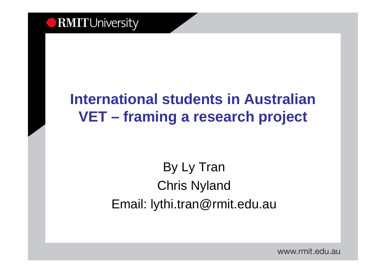

### **International students in Australian VET – framing a research project**

### By Ly TranChris NylandEmail: lythi.tran@rmit.edu.au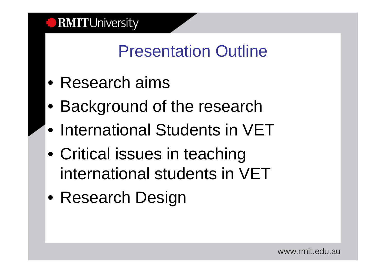# Presentation Outline

- Research aims
- Background of the research
- International Students in VET
- Critical issues in teaching international students in VET
- Research Design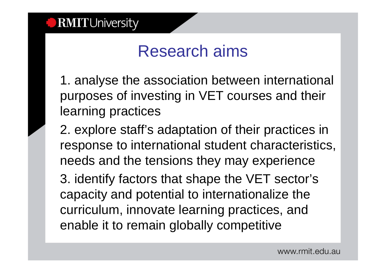## Research aims

1. analyse the association between international purposes of investing in VET courses and their learning practices

2. explore staff's adaptation of their practices in response to international student characteristics, needs and the tensions they may experience

3. identify factors that shape the VET sector's capacity and potential to internationalize the curriculum, innovate learning practices, and enable it to remain globally competitive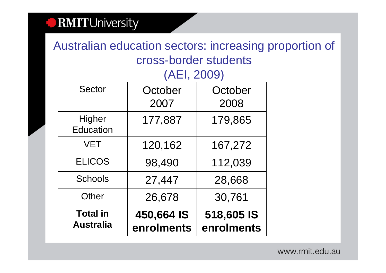Australian education sectors: increasing proportion of cross-border students(AEI, 2009)

| 120,162<br>167,272<br>112,039<br>98,490<br>27,447<br>28,668<br>30,761<br>26,678 |
|---------------------------------------------------------------------------------|
|                                                                                 |
|                                                                                 |
|                                                                                 |
|                                                                                 |
| 177,887<br>179,865                                                              |
| October<br>October<br>2007<br>2008                                              |
|                                                                                 |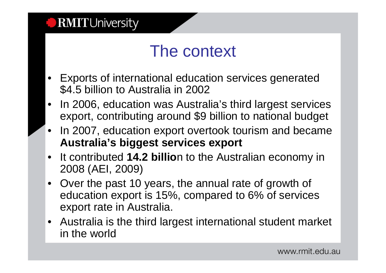

### The context

- • Exports of international education services generated \$4.5 billion to Australia in 2002
- In 2006, education was Australia's third largest services  $\bullet$ export, contributing around \$9 billion to national budget
- • In 2007, education export overtook tourism and became **Australia's biggest services export**
- $\bullet$  It contributed **14.2 billio**n to the Australian economy in 2008 (AEI, 2009)
- Over the past 10 years, the annual rate of growth of education export is 15%, compared to 6% of servicesexport rate in Australia.
- Australia is the third largest international student market in the world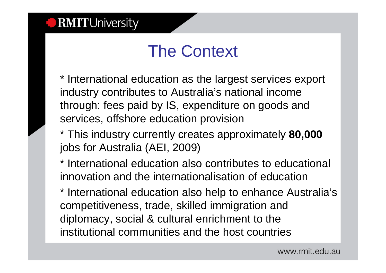# The Context

\* International education as the largest services export industry contributes to Australia's national income through: fees paid by IS, expenditure on goods and services, offshore education provision

- \* This industry currently creates approximately **80,000**jobs for Australia (AEI, 2009)
- \* International education also contributes to educational innovation and the internationalisation of education
- \* International education also help to enhance Australia's competitiveness, trade, skilled immigration and diplomacy, social & cultural enrichment to the institutional communities and the host countries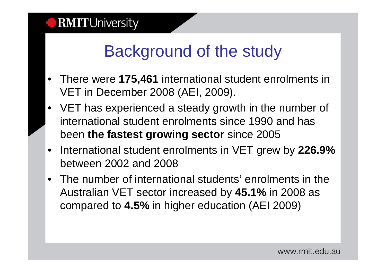# Background of the study

- There were **175,461** international student enrolments in VET in December 2008 (AEI, 2009).
- VET has experienced a steady growth in the number of international student enrolments since 1990 and hasbeen **the fastest growing sector** since 2005
- $\bullet$  International student enrolments in VET grew by **226.9%**  between 2002 and 2008
- $\bullet$  The number of international students' enrolments in the Australian VET sector increased by **45.1%** in 2008 as compared to **4.5%** in higher education (AEI 2009)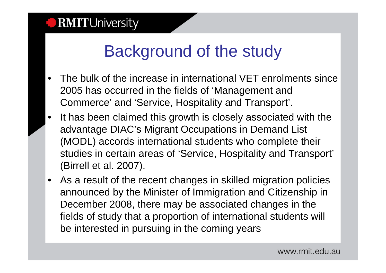## Background of the study

- • The bulk of the increase in international VET enrolments since 2005 has occurred in the fields of 'Management and Commerce' and 'Service, Hospitality and Transport'.
- • It has been claimed this growth is closely associated with the advantage DIAC's Migrant Occupations in Demand List (MODL) accords international students who complete their studies in certain areas of 'Service, Hospitality and Transport'(Birrell et al. 2007).
- $\bullet$  As a result of the recent changes in skilled migration policies announced by the Minister of Immigration and Citizenship in December 2008, there may be associated changes in the fields of study that a proportion of international students willbe interested in pursuing in the coming years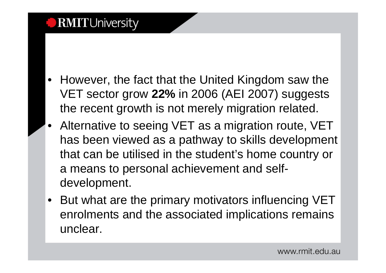- • However, the fact that the United Kingdom saw the VET sector grow **22%** in 2006 (AEI 2007) suggests the recent growth is not merely migration related.
- Alternative to seeing VET as a migration route, VET has been viewed as a pathway to skills development that can be utilised in the student's home country or a means to personal achievement and selfdevelopment.
- But what are the primary motivators influencing VET enrolments and the associated implications remains unclear.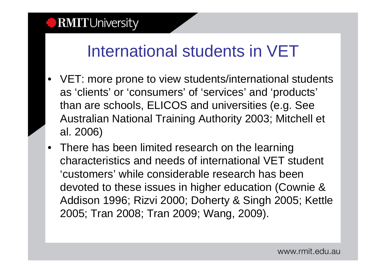## International students in VET

- VET: more prone to view students/international students as 'clients' or 'consumers' of 'services' and 'products' than are schools, ELICOS and universities (e.g. See Australian National Training Authority 2003; Mitchell et al. 2006)
- There has been limited research on the learning characteristics and needs of international VET student 'customers' while considerable research has been devoted to these issues in higher education (Cownie & Addison 1996; Rizvi 2000; Doherty & Singh 2005; Kettle 2005; Tran 2008; Tran 2009; Wang, 2009).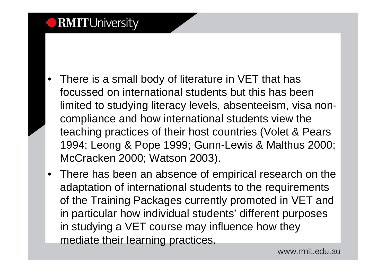- There is a small body of literature in VET that has focussed on international students but this has been limited to studying literacy levels, absenteeism, visa noncompliance and how international students view the teaching practices of their host countries (Volet & Pears 1994; Leong & Pope 1999; Gunn-Lewis & Malthus 2000; McCracken 2000; Watson 2003).
- There has been an absence of empirical research on the adaptation of international students to the requirements of the Training Packages currently promoted in VET and in particular how individual students' different purposes in studying a VET course may influence how they mediate their learning practices.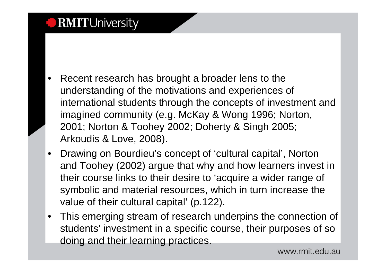- • Recent research has brought a broader lens to the understanding of the motivations and experiences ofinternational students through the concepts of investment and imagined community (e.g. McKay & Wong 1996; Norton,2001; Norton & Toohey 2002; Doherty & Singh 2005; Arkoudis & Love, 2008).
- • Drawing on Bourdieu's concept of 'cultural capital', Norton and Toohey (2002) argue that why and how learners invest in their course links to their desire to 'acquire a wider range of symbolic and material resources, which in turn increase the value of their cultural capital' (p.122).
- • This emerging stream of research underpins the connection of students' investment in a specific course, their purposes of so doing and their learning practices.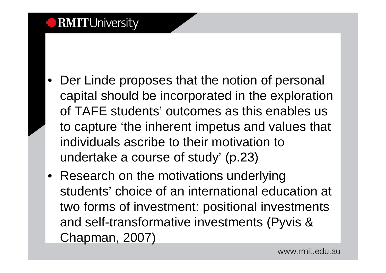- Der Linde proposes that the notion of personal capital should be incorporated in the exploration of TAFE students' outcomes as this enables us to capture 'the inherent impetus and values that individuals ascribe to their motivation to undertake a course of study' (p.23)
- Research on the motivations underlying students' choice of an international education at two forms of investment: positional investments and self-transformative investments (Pyvis & Chapman, 2007)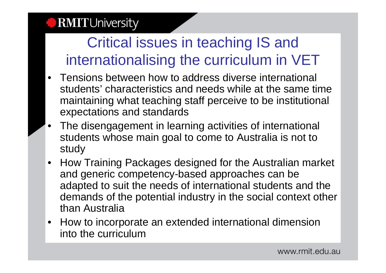### Critical issues in teaching IS and internationalising the curriculum in VET

- Tensions between how to address diverse international students' characteristics and needs while at the same time maintaining what teaching staff perceive to be institutional expectations and standards
- The disengagement in learning activities of international students whose main goal to come to Australia is not to study
- How Training Packages designed for the Australian market and generic competency-based approaches can be adapted to suit the needs of international students and the demands of the potential industry in the social context other than Australia
- How to incorporate an extended international dimension into the curriculum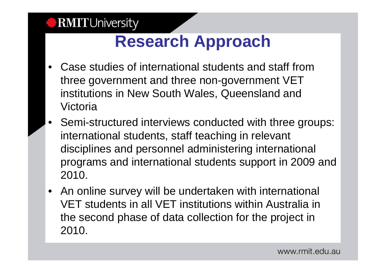## **Research Approach**

- • Case studies of international students and staff from three government and three non-government VET institutions in New South Wales, Queensland and Victoria
- • Semi-structured interviews conducted with three groups: international students, staff teaching in relevant disciplines and personnel administering international programs and international students support in 2009 and 2010.
- An online survey will be undertaken with international VET students in all VET institutions within Australia in the second phase of data collection for the project in 2010.